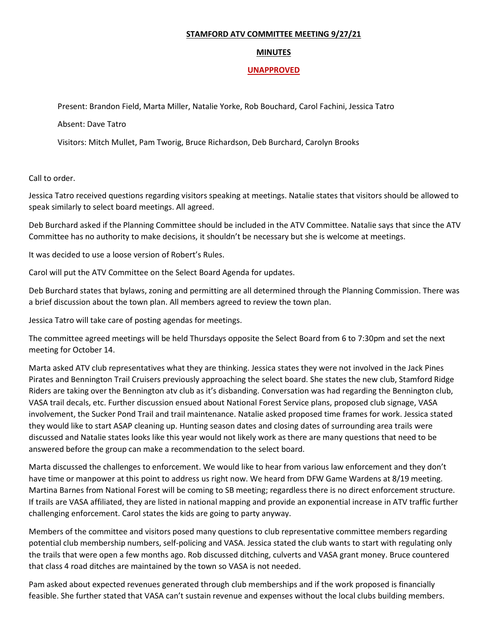## **STAMFORD ATV COMMITTEE MEETING 9/27/21**

## **MINUTES**

## **UNAPPROVED**

Present: Brandon Field, Marta Miller, Natalie Yorke, Rob Bouchard, Carol Fachini, Jessica Tatro

Absent: Dave Tatro

Visitors: Mitch Mullet, Pam Tworig, Bruce Richardson, Deb Burchard, Carolyn Brooks

Call to order.

Jessica Tatro received questions regarding visitors speaking at meetings. Natalie states that visitors should be allowed to speak similarly to select board meetings. All agreed.

Deb Burchard asked if the Planning Committee should be included in the ATV Committee. Natalie says that since the ATV Committee has no authority to make decisions, it shouldn't be necessary but she is welcome at meetings.

It was decided to use a loose version of Robert's Rules.

Carol will put the ATV Committee on the Select Board Agenda for updates.

Deb Burchard states that bylaws, zoning and permitting are all determined through the Planning Commission. There was a brief discussion about the town plan. All members agreed to review the town plan.

Jessica Tatro will take care of posting agendas for meetings.

The committee agreed meetings will be held Thursdays opposite the Select Board from 6 to 7:30pm and set the next meeting for October 14.

Marta asked ATV club representatives what they are thinking. Jessica states they were not involved in the Jack Pines Pirates and Bennington Trail Cruisers previously approaching the select board. She states the new club, Stamford Ridge Riders are taking over the Bennington atv club as it's disbanding. Conversation was had regarding the Bennington club, VASA trail decals, etc. Further discussion ensued about National Forest Service plans, proposed club signage, VASA involvement, the Sucker Pond Trail and trail maintenance. Natalie asked proposed time frames for work. Jessica stated they would like to start ASAP cleaning up. Hunting season dates and closing dates of surrounding area trails were discussed and Natalie states looks like this year would not likely work as there are many questions that need to be answered before the group can make a recommendation to the select board.

Marta discussed the challenges to enforcement. We would like to hear from various law enforcement and they don't have time or manpower at this point to address us right now. We heard from DFW Game Wardens at 8/19 meeting. Martina Barnes from National Forest will be coming to SB meeting; regardless there is no direct enforcement structure. If trails are VASA affiliated, they are listed in national mapping and provide an exponential increase in ATV traffic further challenging enforcement. Carol states the kids are going to party anyway.

Members of the committee and visitors posed many questions to club representative committee members regarding potential club membership numbers, self-policing and VASA. Jessica stated the club wants to start with regulating only the trails that were open a few months ago. Rob discussed ditching, culverts and VASA grant money. Bruce countered that class 4 road ditches are maintained by the town so VASA is not needed.

Pam asked about expected revenues generated through club memberships and if the work proposed is financially feasible. She further stated that VASA can't sustain revenue and expenses without the local clubs building members.